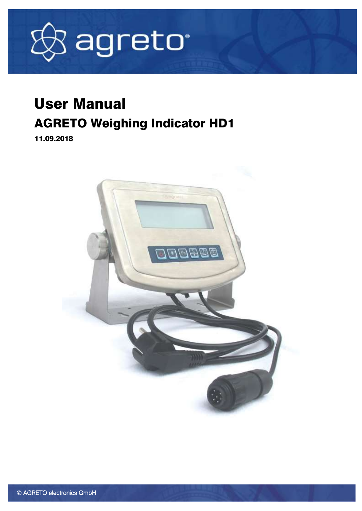

# User Manual AGRETO Weighing Indicator HD1

11.09.2018

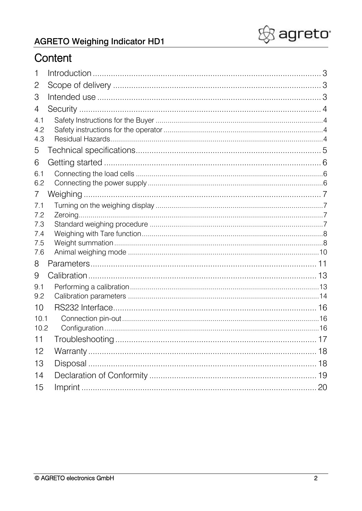

### Content

| 1              |  |
|----------------|--|
| 2              |  |
| 3              |  |
| 4              |  |
| 4.1            |  |
| 4.2            |  |
| 4.3            |  |
| 5              |  |
| 6              |  |
| 6.1            |  |
| 6.2            |  |
| $\overline{7}$ |  |
| 7.1<br>7.2     |  |
| 7.3            |  |
| 7.4            |  |
| 7.5            |  |
| 7.6            |  |
| 8              |  |
| 9              |  |
| 9.1            |  |
| 9.2            |  |
| 10             |  |
| 10.1           |  |
| 10.2           |  |
| 11             |  |
| 12             |  |
| 13             |  |
| 14             |  |
| 15             |  |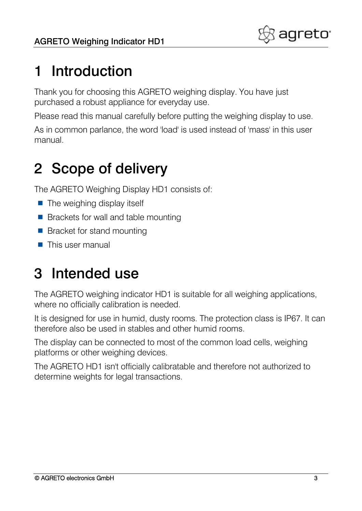

# <span id="page-2-0"></span>1 Introduction

Thank you for choosing this AGRETO weighing display. You have just purchased a robust appliance for everyday use.

Please read this manual carefully before putting the weighing display to use.

As in common parlance, the word 'load' is used instead of 'mass' in this user manual.

# <span id="page-2-1"></span>2 Scope of delivery

The AGRETO Weighing Display HD1 consists of:

- $\blacksquare$  The weighing display itself
- Brackets for wall and table mounting
- Bracket for stand mounting
- $\blacksquare$  This user manual

# <span id="page-2-2"></span>3 Intended use

The AGRETO weighing indicator HD1 is suitable for all weighing applications, where no officially calibration is needed.

It is designed for use in humid, dusty rooms. The protection class is IP67. It can therefore also be used in stables and other humid rooms.

The display can be connected to most of the common load cells, weighing platforms or other weighing devices.

The AGRETO HD1 isn't officially calibratable and therefore not authorized to determine weights for legal transactions.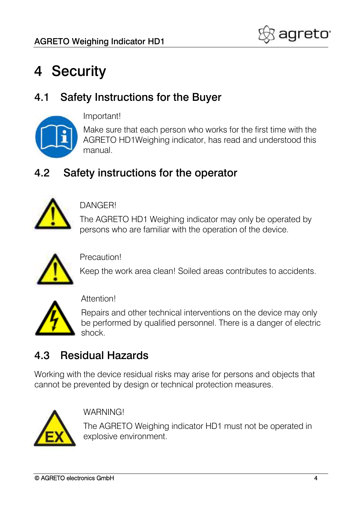

# <span id="page-3-0"></span>4 Security

### <span id="page-3-1"></span>4.1 Safety Instructions for the Buyer



Important!

Make sure that each person who works for the first time with the AGRETO HD1Weighing indicator, has read and understood this manual.

### <span id="page-3-2"></span>4.2 Safety instructions for the operator



DANGER!

The AGRETO HD1 Weighing indicator may only be operated by persons who are familiar with the operation of the device.



Precaution!

Keep the work area clean! Soiled areas contributes to accidents.



#### Attention!

Repairs and other technical interventions on the device may only be performed by qualified personnel. There is a danger of electric shock.

### <span id="page-3-3"></span>4.3 Residual Hazards

Working with the device residual risks may arise for persons and objects that cannot be prevented by design or technical protection measures.



**WARNING!** 

The AGRETO Weighing indicator HD1 must not be operated in explosive environment.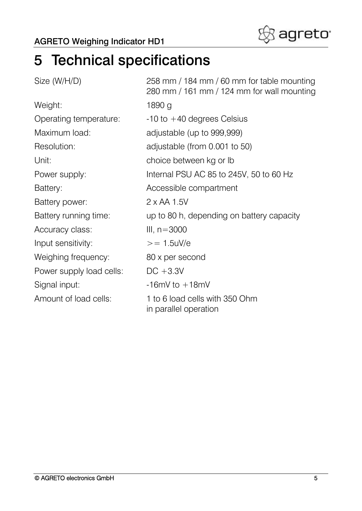

# <span id="page-4-0"></span>5 Technical specifications

| Size (W/H/D)             | 258 mm / 184 mm / 60 mm for table mounting<br>280 mm / 161 mm / 124 mm for wall mounting |
|--------------------------|------------------------------------------------------------------------------------------|
| Weight:                  | 1890 g                                                                                   |
| Operating temperature:   | $-10$ to $+40$ degrees Celsius                                                           |
| Maximum load:            | adjustable (up to 999,999)                                                               |
| Resolution:              | adjustable (from 0.001 to 50)                                                            |
| Unit:                    | choice between kg or Ib                                                                  |
| Power supply:            | Internal PSU AC 85 to 245V, 50 to 60 Hz                                                  |
| Battery:                 | Accessible compartment                                                                   |
| Battery power:           | $2 \times AA$ 1.5V                                                                       |
| Battery running time:    | up to 80 h, depending on battery capacity                                                |
| Accuracy class:          | III, $n = 3000$                                                                          |
| Input sensitivity:       | $>= 1.5$ uV/e                                                                            |
| Weighing frequency:      | 80 x per second                                                                          |
| Power supply load cells: | $DC + 3.3V$                                                                              |
| Signal input:            | $-16mV$ to $+18mV$                                                                       |
| Amount of load cells:    | 1 to 6 load cells with 350 Ohm<br>in parallel operation                                  |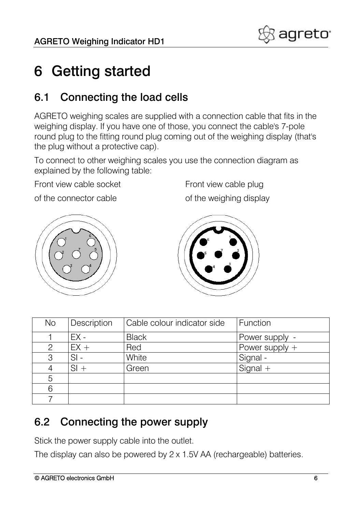

## <span id="page-5-0"></span>6 Getting started

#### <span id="page-5-1"></span>6.1 Connecting the load cells

AGRETO weighing scales are supplied with a connection cable that fits in the weighing display. If you have one of those, you connect the cable's 7-pole round plug to the fitting round plug coming out of the weighing display (that's the plug without a protective cap).

To connect to other weighing scales you use the connection diagram as explained by the following table:

Front view cable socket Front view cable plug

of the connector cable of the weighing display





| <b>No</b> | Description | Cable colour indicator side | Function         |
|-----------|-------------|-----------------------------|------------------|
|           | $EX -$      | <b>Black</b>                | Power supply -   |
| 2         | $EX +$      | Red                         | Power supply $+$ |
| 3         | $SI -$      | White                       | Signal -         |
|           | $SI +$      | Green                       | $Signal +$       |
| 5         |             |                             |                  |
| 6         |             |                             |                  |
|           |             |                             |                  |

### <span id="page-5-2"></span>6.2 Connecting the power supply

Stick the power supply cable into the outlet.

The display can also be powered by 2 x 1.5V AA (rechargeable) batteries.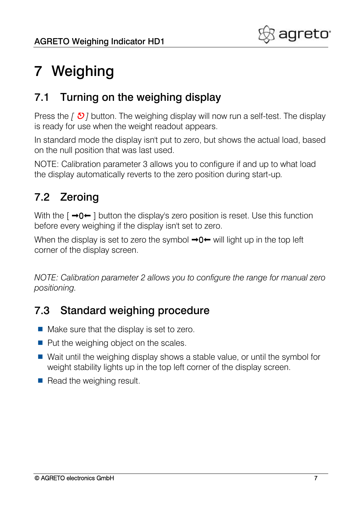

# <span id="page-6-0"></span>7 Weighing

### <span id="page-6-1"></span>7.1 Turning on the weighing display

Press the *[*  $\bullet$  *]* button. The weighing display will now run a self-test. The display is ready for use when the weight readout appears.

In standard mode the display isn't put to zero, but shows the actual load, based on the null position that was last used.

NOTE: Calibration parameter 3 allows you to configure if and up to what load the display automatically reverts to the zero position during start-up*.*

### <span id="page-6-2"></span>7.2 Zeroing

With the  $\lceil \rightarrow 0 \leftarrow \rceil$  button the display's zero position is reset. Use this function before every weighing if the display isn't set to zero.

When the display is set to zero the symbol  $\rightarrow 0 \leftarrow$  will light up in the top left corner of the display screen.

*NOTE: Calibration parameter 2 allows you to configure the range for manual zero positioning.*

### <span id="page-6-3"></span>7.3 Standard weighing procedure

- $\blacksquare$  Make sure that the display is set to zero.
- $\blacksquare$  Put the weighing object on the scales.
- Wait until the weighing display shows a stable value, or until the symbol for weight stability lights up in the top left corner of the display screen.
- $\blacksquare$  Read the weighing result.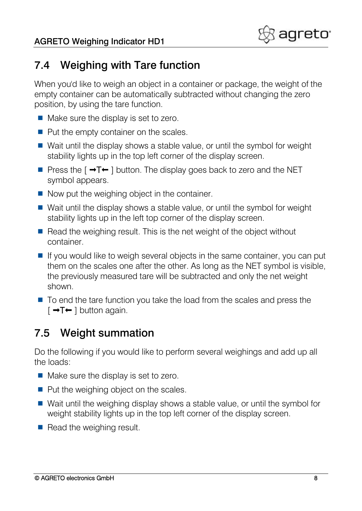

### <span id="page-7-0"></span>7.4 Weighing with Tare function

When you'd like to weigh an object in a container or package, the weight of the empty container can be automatically subtracted without changing the zero position, by using the tare function.

- $\blacksquare$  Make sure the display is set to zero.
- $\blacksquare$  Put the empty container on the scales.
- Wait until the display shows a stable value, or until the symbol for weight stability lights up in the top left corner of the display screen.
- Press the  $\lceil \rightarrow \rceil \leftarrow \rceil$  button. The display goes back to zero and the NET symbol appears.
- $\blacksquare$  Now put the weighing object in the container.
- Wait until the display shows a stable value, or until the symbol for weight stability lights up in the left top corner of the display screen.
- $\blacksquare$  Read the weighing result. This is the net weight of the object without container.
- $\blacksquare$  If you would like to weigh several objects in the same container, you can put them on the scales one after the other. As long as the NET symbol is visible, the previously measured tare will be subtracted and only the net weight shown.
- $\blacksquare$  To end the tare function you take the load from the scales and press the  $\lceil \rightarrow \rceil$   $\leftarrow$   $\rceil$  button again.

### <span id="page-7-1"></span>7.5 Weight summation

Do the following if you would like to perform several weighings and add up all the loads:

- $\blacksquare$  Make sure the display is set to zero.
- $\blacksquare$  Put the weighing object on the scales.
- Wait until the weighing display shows a stable value, or until the symbol for weight stability lights up in the top left corner of the display screen.
- $\blacksquare$  Read the weighing result.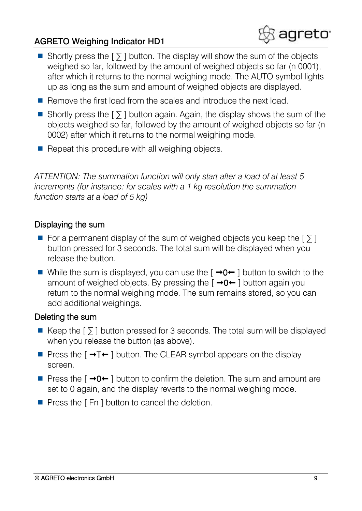- Shortly press the  $\lceil \sum \rceil$  button. The display will show the sum of the objects weighed so far, followed by the amount of weighed objects so far (n 0001), after which it returns to the normal weighing mode. The AUTO symbol lights up as long as the sum and amount of weighed objects are displayed.
- Remove the first load from the scales and introduce the next load.
- Shortly press the  $\lceil \nabla \rceil$  button again. Again, the display shows the sum of the objects weighed so far, followed by the amount of weighed objects so far (n 0002) after which it returns to the normal weighing mode.
- $\blacksquare$  Repeat this procedure with all weighing objects.

*ATTENTION: The summation function will only start after a load of at least 5 increments (for instance: for scales with a 1 kg resolution the summation function starts at a load of 5 kg)*

#### Displaying the sum

- For a permanent display of the sum of weighed objects you keep the  $\lceil \sum n \rceil$ button pressed for 3 seconds. The total sum will be displayed when you release the button.
- While the sum is displayed, you can use the  $\lceil \rightarrow 0 \leftarrow \rceil$  button to switch to the amount of weighed objects. By pressing the  $\lceil \rightarrow 0 \leftarrow \rceil$  button again you return to the normal weighing mode. The sum remains stored, so you can add additional weighings.

#### Deleting the sum

- Keep the  $\lceil \nabla \rceil$  button pressed for 3 seconds. The total sum will be displayed when you release the button (as above).
- **Press the [**  $\rightarrow T \leftarrow$  **] button. The CLEAR symbol appears on the display** screen.
- **Press the [**  $\rightarrow 0$  $\leftarrow$  **] button to confirm the deletion. The sum and amount are** set to 0 again, and the display reverts to the normal weighing mode.
- $\blacksquare$  Press the [Fn ] button to cancel the deletion.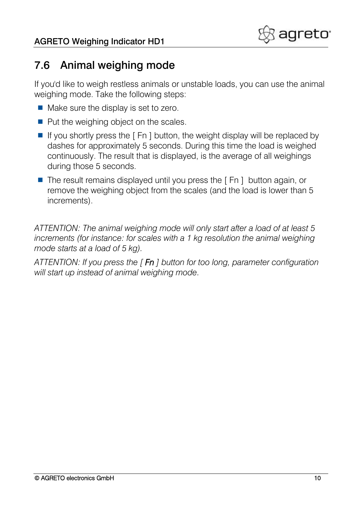

#### <span id="page-9-0"></span>7.6 Animal weighing mode

If you'd like to weigh restless animals or unstable loads, you can use the animal weighing mode. Take the following steps:

- $\blacksquare$  Make sure the display is set to zero.
- $\blacksquare$  Put the weighing object on the scales.
- If you shortly press the  $\lceil$  Fn  $\rceil$  button, the weight display will be replaced by dashes for approximately 5 seconds. During this time the load is weighed continuously. The result that is displayed, is the average of all weighings during those 5 seconds.
- $\blacksquare$  The result remains displayed until you press the  $\lceil$  Fn  $\rceil$  button again, or remove the weighing object from the scales (and the load is lower than 5 increments).

*ATTENTION: The animal weighing mode will only start after a load of at least 5 increments (for instance: for scales with a 1 kg resolution the animal weighing mode starts at a load of 5 kg).*

*ATTENTION: If you press the [ Fn ] button for too long, parameter configuration will start up instead of animal weighing mode.*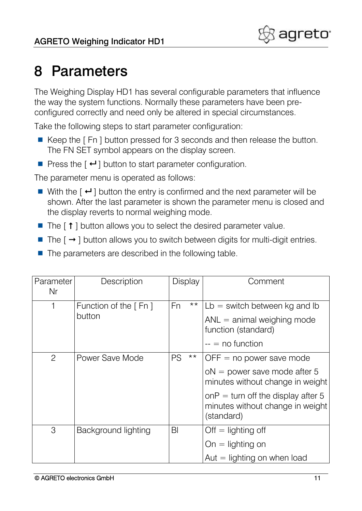## <span id="page-10-0"></span>8 Parameters

The Weighing Display HD1 has several configurable parameters that influence the way the system functions. Normally these parameters have been preconfigured correctly and need only be altered in special circumstances.

Take the following steps to start parameter configuration:

- Keep the [Fn ] button pressed for 3 seconds and then release the button. The FN SET symbol appears on the display screen.
- Press the  $[$   $\leftrightarrow$   $]$  button to start parameter configuration.

The parameter menu is operated as follows:

- With the  $\left\lceil \frac{1}{2} \right\rceil$  button the entry is confirmed and the next parameter will be shown. After the last parameter is shown the parameter menu is closed and the display reverts to normal weighing mode.
- $\blacksquare$  The  $\lceil \uparrow \rceil$  button allows you to select the desired parameter value.
- The  $\lceil \rightarrow \rceil$  button allows you to switch between digits for multi-digit entries.
- $\blacksquare$  The parameters are described in the following table.

| Parameter<br>Nr | Description            | <b>Display</b> |       | Comment                                                                              |
|-----------------|------------------------|----------------|-------|--------------------------------------------------------------------------------------|
| 1               | Function of the $[Fn]$ | Fn             | $***$ | $Lb =$ switch between kg and lb                                                      |
|                 | button                 |                |       | $ANL =$ animal weighing mode<br>function (standard)                                  |
|                 |                        |                |       | $-$ = no function                                                                    |
| $\overline{2}$  | Power Save Mode        | PS             | $***$ | $OFF = no power save mode$                                                           |
|                 |                        |                |       | $oN = power$ save mode after 5<br>minutes without change in weight                   |
|                 |                        |                |       | onP = turn off the display after 5<br>minutes without change in weight<br>(standard) |
| 3               | Background lighting    | BI             |       | $Off = lighting$ off                                                                 |
|                 |                        |                |       | $On =$ lighting on                                                                   |
|                 |                        |                |       | Aut $=$ lighting on when load                                                        |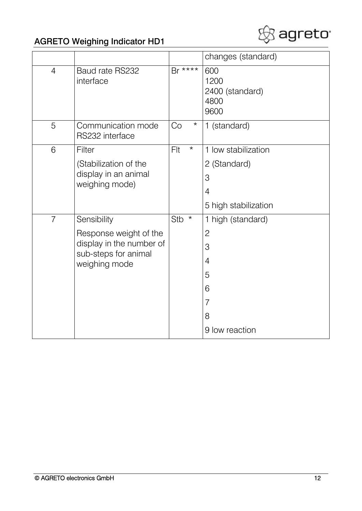

|                |                                                                                             |                 | changes (standard)                             |
|----------------|---------------------------------------------------------------------------------------------|-----------------|------------------------------------------------|
| $\overline{4}$ | Baud rate RS232<br>interface                                                                | $Br***$         | 600<br>1200<br>2400 (standard)<br>4800<br>9600 |
| 5              | Communication mode<br>RS232 interface                                                       | $\star$<br>Co   | 1 (standard)                                   |
| 6              | Filter                                                                                      | Flt<br>$^\star$ | 1 low stabilization                            |
|                | (Stabilization of the                                                                       |                 | 2 (Standard)                                   |
|                | display in an animal<br>weighing mode)                                                      |                 | 3                                              |
|                |                                                                                             |                 | $\overline{4}$                                 |
|                |                                                                                             |                 | 5 high stabilization                           |
| $\overline{7}$ | Sensibility                                                                                 | Stb $*$         | 1 high (standard)                              |
|                | Response weight of the<br>display in the number of<br>sub-steps for animal<br>weighing mode |                 | $\mathbf{2}$                                   |
|                |                                                                                             |                 | 3                                              |
|                |                                                                                             |                 | $\overline{4}$                                 |
|                |                                                                                             |                 | 5                                              |
|                |                                                                                             |                 | 6                                              |
|                |                                                                                             |                 | 7                                              |
|                |                                                                                             |                 | 8                                              |
|                |                                                                                             |                 | 9 low reaction                                 |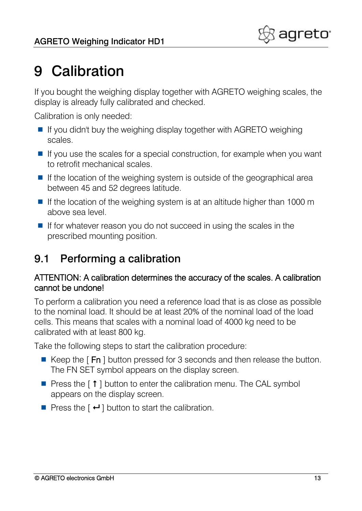# <span id="page-12-0"></span>9 Calibration

If you bought the weighing display together with AGRETO weighing scales, the display is already fully calibrated and checked.

Calibration is only needed:

- $\blacksquare$  If you didn't buy the weighing display together with AGRETO weighing scales.
- $\blacksquare$  If you use the scales for a special construction, for example when you want to retrofit mechanical scales.
- If the location of the weighing system is outside of the geographical area between 45 and 52 degrees latitude.
- If the location of the weighing system is at an altitude higher than 1000 m above sea level.
- If for whatever reason you do not succeed in using the scales in the prescribed mounting position.

### <span id="page-12-1"></span>9.1 Performing a calibration

#### ATTENTION: A calibration determines the accuracy of the scales. A calibration cannot be undone!

To perform a calibration you need a reference load that is as close as possible to the nominal load. It should be at least 20% of the nominal load of the load cells. This means that scales with a nominal load of 4000 kg need to be calibrated with at least 800 kg.

Take the following steps to start the calibration procedure:

- Keep the  $[Fn]$  button pressed for 3 seconds and then release the button. The FN SET symbol appears on the display screen.
- **Press the [**  $\uparrow$  **] button to enter the calibration menu. The CAL symbol** appears on the display screen.
- **Press the [**  $\leftarrow$  **] button to start the calibration.**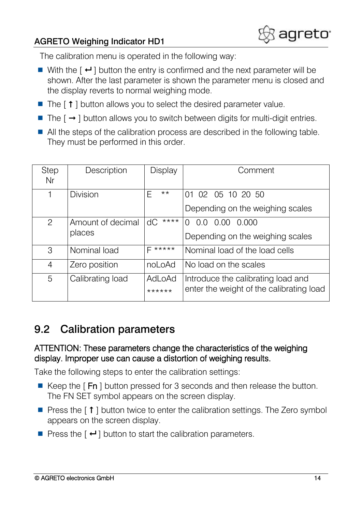

The calibration menu is operated in the following way:

- With the  $\lceil \cdot \cdot \rceil$  button the entry is confirmed and the next parameter will be shown. After the last parameter is shown the parameter menu is closed and the display reverts to normal weighing mode.
- $\blacksquare$  The  $\lceil \uparrow \rceil$  button allows you to select the desired parameter value.
- The  $\lceil \rightarrow \rceil$  button allows you to switch between digits for multi-digit entries.
- All the steps of the calibration process are described in the following table. They must be performed in this order.

| <b>Step</b><br>Nr | Description                 | Display           | Comment                                                                        |
|-------------------|-----------------------------|-------------------|--------------------------------------------------------------------------------|
| 1                 | <b>Division</b>             | $\star\star$<br>Е | 01 02 05 10 20 50<br>Depending on the weighing scales                          |
| $\overline{2}$    | Amount of decimal<br>places | ****<br>dС        | 0.0<br>0.00<br>0.000<br>$\Omega$<br>Depending on the weighing scales           |
| 3                 | Nominal load                | <b>L</b> *****    | Nominal load of the load cells                                                 |
| 4                 | Zero position               | noLoAd            | No load on the scales                                                          |
| 5                 | Calibrating load            | AdLoAd<br>******  | Introduce the calibrating load and<br>enter the weight of the calibrating load |

#### <span id="page-13-0"></span>9.2 Calibration parameters

#### ATTENTION: These parameters change the characteristics of the weighing display. Improper use can cause a distortion of weighing results.

Take the following steps to enter the calibration settings:

- Keep the  $\lceil$  Fn  $\rceil$  button pressed for 3 seconds and then release the button. The FN SET symbol appears on the screen display.
- **Press the [**  $\uparrow$  **] button twice to enter the calibration settings. The Zero symbol** appears on the screen display.
- **Press the [**  $\leftarrow$  **] button to start the calibration parameters.**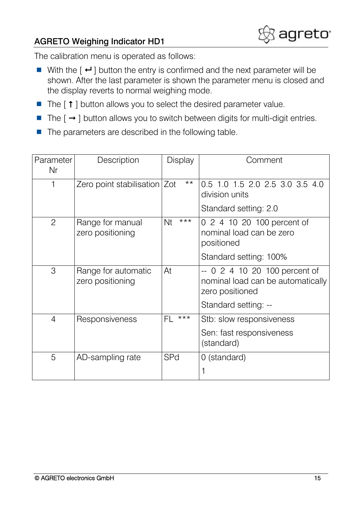

The calibration menu is operated as follows:

- With the  $\lceil \cdot \cdot \rceil$  button the entry is confirmed and the next parameter will be shown. After the last parameter is shown the parameter menu is closed and the display reverts to normal weighing mode.
- $\blacksquare$  The  $\lceil \uparrow \rceil$  button allows you to select the desired parameter value.
- The  $[\rightarrow]$  button allows you to switch between digits for multi-digit entries.
- $\blacksquare$  The parameters are described in the following table.

| Parameter      | Description                             | Display     | Comment                                                                               |
|----------------|-----------------------------------------|-------------|---------------------------------------------------------------------------------------|
| Nr             |                                         |             |                                                                                       |
| 1              | Zero point stabilisation   Zot          | $***$       | 0.5 1.0 1.5 2.0 2.5 3.0 3.5 4.0<br>division units                                     |
|                |                                         |             | Standard setting: 2.0                                                                 |
| $\overline{2}$ | Range for manual<br>zero positioning    | $***$<br>Nt | 0 2 4 10 20 100 percent of<br>nominal load can be zero<br>positioned                  |
|                |                                         |             | Standard setting: 100%                                                                |
| 3              | Range for automatic<br>zero positioning | At          | -- 0 2 4 10 20 100 percent of<br>nominal load can be automatically<br>zero positioned |
|                |                                         |             | Standard setting: --                                                                  |
| $\overline{4}$ | Responsiveness                          | $***$<br>FL | Stb: slow responsiveness                                                              |
|                |                                         |             | Sen: fast responsiveness<br>(standard)                                                |
| 5              | AD-sampling rate                        | <b>SPd</b>  | 0 (standard)                                                                          |
|                |                                         |             | 1                                                                                     |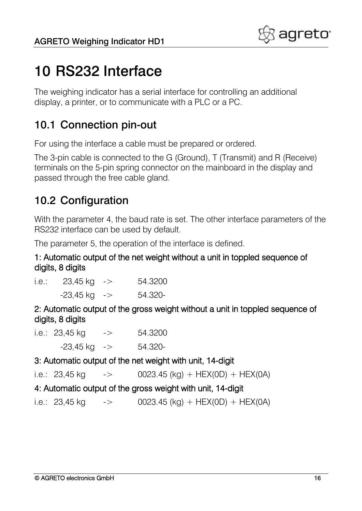

## <span id="page-15-0"></span>10 RS232 Interface

The weighing indicator has a serial interface for controlling an additional display, a printer, or to communicate with a PLC or a PC.

### <span id="page-15-1"></span>10.1 Connection pin-out

For using the interface a cable must be prepared or ordered.

The 3-pin cable is connected to the G (Ground), T (Transmit) and R (Receive) terminals on the 5-pin spring connector on the mainboard in the display and passed through the free cable gland.

### <span id="page-15-2"></span>10.2 Configuration

With the parameter 4, the baud rate is set. The other interface parameters of the RS232 interface can be used by default.

The parameter 5, the operation of the interface is defined.

#### 1: Automatic output of the net weight without a unit in toppled sequence of digits, 8 digits

| i.e.: | $23,45$ kg $\rightarrow$  | 54.3200 |
|-------|---------------------------|---------|
|       | $-23,45$ kg $\rightarrow$ | 54.320- |

2: Automatic output of the gross weight without a unit in toppled sequence of digits, 8 digits

| i.e.: $23,45$ kg |                           | $\mathord{\hspace{1pt}\text{--}\hspace{1pt}}$ | 54.3200 |
|------------------|---------------------------|-----------------------------------------------|---------|
|                  | $-23,45$ kg $\rightarrow$ |                                               | 54.320- |

#### 3: Automatic output of the net weight with unit, 14-digit

```
i.e.: 23,45 \text{ kg} -> 0023.45 (kg) + HEX(0D) + HEX(0A)
```
#### 4: Automatic output of the gross weight with unit, 14-digit

i.e.:  $23.45 \text{ kg}$  -> 0023.45 (kg) + HEX(0D) + HEX(0A)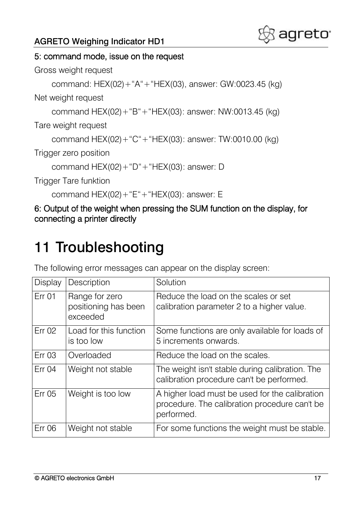

#### 5: command mode, issue on the request

Gross weight request

```
command: HEX(02)+"A"+"HEX(03), answer: GW:0023.45 (kg)
```
Net weight request

command HEX(02)+"B"+"HEX(03): answer: NW:0013.45 (kg)

Tare weight request

command HEX(02)+"C"+"HEX(03): answer: TW:0010.00 (kg)

Trigger zero position

command HEX(02)+"D"+"HEX(03): answer: D

Trigger Tare funktion

command HEX(02)+"E"+"HEX(03): answer: E

6: Output of the weight when pressing the SUM function on the display, for connecting a printer directly

# <span id="page-16-0"></span>11 Troubleshooting

The following error messages can appear on the display screen:

| <b>Display</b> | Description                                        | Solution                                                                                                      |
|----------------|----------------------------------------------------|---------------------------------------------------------------------------------------------------------------|
| <b>Err 01</b>  | Range for zero<br>positioning has been<br>exceeded | Reduce the load on the scales or set<br>calibration parameter 2 to a higher value.                            |
| Err 02         | Load for this function<br>is too low               | Some functions are only available for loads of<br>5 increments onwards.                                       |
| <b>Err 03</b>  | Overloaded                                         | Reduce the load on the scales.                                                                                |
| Err 04         | Weight not stable                                  | The weight isn't stable during calibration. The<br>calibration procedure can't be performed.                  |
| Err 05         | Weight is too low                                  | A higher load must be used for the calibration<br>procedure. The calibration procedure can't be<br>performed. |
| <b>Err 06</b>  | Weight not stable                                  | For some functions the weight must be stable.                                                                 |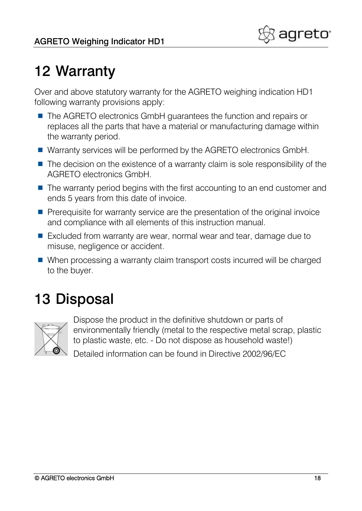# <span id="page-17-0"></span>12 Warranty

Over and above statutory warranty for the AGRETO weighing indication HD1 following warranty provisions apply:

- The AGRETO electronics GmbH guarantees the function and repairs or replaces all the parts that have a material or manufacturing damage within the warranty period.
- Warranty services will be performed by the AGRETO electronics GmbH.
- $\blacksquare$  The decision on the existence of a warranty claim is sole responsibility of the AGRETO electronics GmbH.
- The warranty period begins with the first accounting to an end customer and ends 5 years from this date of invoice.
- **Prerequisite for warranty service are the presentation of the original invoice** and compliance with all elements of this instruction manual.
- Excluded from warranty are wear, normal wear and tear, damage due to misuse, negligence or accident.
- When processing a warranty claim transport costs incurred will be charged to the buyer.

# <span id="page-17-1"></span>13 Disposal



Dispose the product in the definitive shutdown or parts of environmentally friendly (metal to the respective metal scrap, plastic to plastic waste, etc. - Do not dispose as household waste!)

Detailed information can be found in Directive 2002/96/EC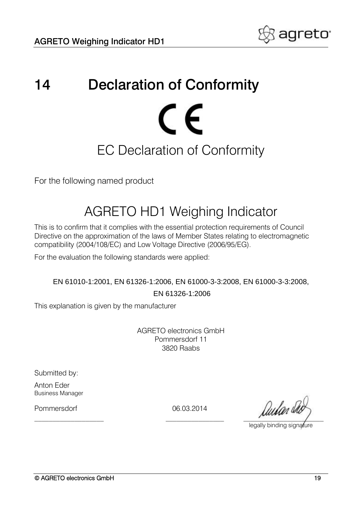

# <span id="page-18-0"></span>14 Declaration of Conformity CE EC Declaration of Conformity

For the following named product

### AGRETO HD1 Weighing Indicator

This is to confirm that it complies with the essential protection requirements of Council Directive on the approximation of the laws of Member States relating to electromagnetic compatibility (2004/108/EC) and Low Voltage Directive (2006/95/EG).

For the evaluation the following standards were applied:

EN 61010-1:2001, EN 61326-1:2006, EN 61000-3-3:2008, EN 61000-3-3:2008, EN 61326-1:2006

This explanation is given by the manufacturer

AGRETO electronics GmbH Pommersdorf 11 3820 Raabs

Submitted by:

Anton Eder Business Manager

Pommersdorf 06.03.2014

 $\mu$ 

legally binding signature

© AGRETO electronics GmbH 19